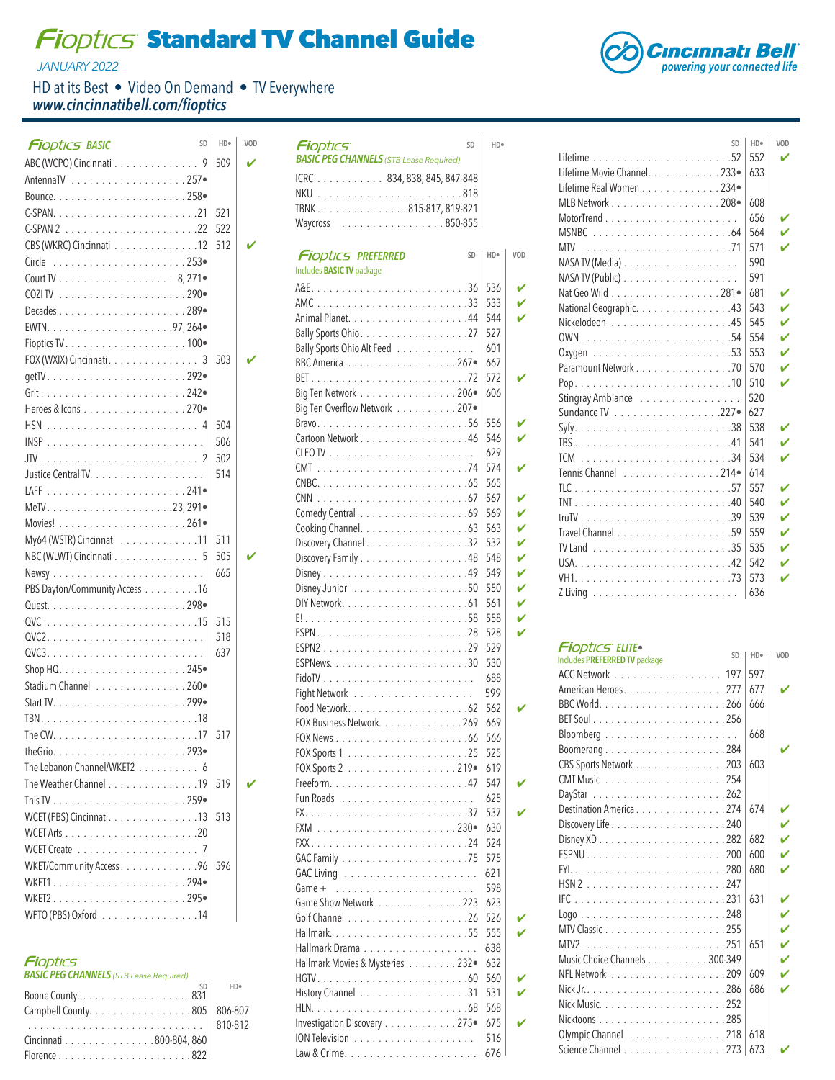## **Fioptics Standard TV Channel Guide**

*JANUARY 2022*

HD at its Best • Video On Demand • TV Everywhere *www.cincinnatibell.com/fioptics*

| <b>Fi</b> optics BASIC                                           | SD | HD <sup>®</sup> | VOD | SD<br><b>Fi</b> optics                         | HD <sup>®</sup> |
|------------------------------------------------------------------|----|-----------------|-----|------------------------------------------------|-----------------|
| ABC (WCPO) Cincinnati 9                                          |    | 509             | V   | <b>BASIC PEG CHANNELS</b> (STB Lease Required) |                 |
|                                                                  |    |                 |     | ICRC 834, 838, 845, 847-848                    |                 |
|                                                                  |    |                 |     |                                                |                 |
|                                                                  |    | 521             |     | TBNK815-817,819-821                            |                 |
|                                                                  |    | 522             |     | Waycross 850-855                               |                 |
| CBS (WKRC) Cincinnati 12                                         |    | 512             | v   |                                                |                 |
|                                                                  |    |                 |     | <b>Fi</b> optics Preferred<br><b>SD</b>        | HD <sup>®</sup> |
|                                                                  |    |                 |     | Includes <b>BASIC TV</b> package               |                 |
|                                                                  |    |                 |     |                                                | 536             |
|                                                                  |    |                 |     |                                                | 533             |
|                                                                  |    |                 |     |                                                | 544             |
|                                                                  |    |                 |     |                                                | 527             |
| FOX (WXIX) Cincinnati. 3                                         |    | 503             | ✔   | Bally Sports Ohio Alt Feed                     | 601             |
|                                                                  |    |                 |     | BBC America 267                                | 667             |
|                                                                  |    |                 |     |                                                | 572             |
|                                                                  |    |                 |     | Big Ten Network 206.                           | 606             |
| Heroes & Icons 270.                                              |    |                 |     | Big Ten Overflow Network 207                   | 556             |
|                                                                  |    | 504             |     | Cartoon Network 46                             | 546             |
|                                                                  |    | 506             |     |                                                | 629             |
|                                                                  |    | 502             |     |                                                | 574             |
|                                                                  |    | 514             |     |                                                | 565             |
|                                                                  |    |                 |     |                                                | 567             |
|                                                                  |    |                 |     |                                                | 569             |
|                                                                  |    |                 |     |                                                | 563             |
| My64 (WSTR) Cincinnati 11                                        |    | 511             |     | Discovery Channel 32                           | 532             |
| NBC (WLWT) Cincinnati 5                                          |    | 505             | v   | Discovery Family 48                            | 548             |
|                                                                  |    | 665             |     |                                                | 549             |
| PBS Dayton/Community Access 16                                   |    |                 |     |                                                | 550             |
|                                                                  |    |                 |     |                                                | 561             |
|                                                                  |    | 515             |     |                                                | 558             |
|                                                                  |    | 518             |     |                                                | 528             |
|                                                                  |    | 637             |     | ESPN229                                        | 529             |
|                                                                  |    |                 |     |                                                | 530             |
| Stadium Channel 260                                              |    |                 |     |                                                | 688             |
|                                                                  |    |                 |     |                                                | 599<br>562      |
|                                                                  |    |                 |     | FOX Business Network. 269                      | 669             |
|                                                                  |    | 517             |     |                                                | 566             |
|                                                                  |    |                 |     |                                                | 525             |
| The Lebanon Channel/WKET2 6                                      |    |                 |     |                                                | 619             |
| The Weather Channel 19                                           |    | 519             |     |                                                | 547             |
|                                                                  |    |                 |     |                                                | 625             |
| WCET (PBS) Cincinnati. 13                                        |    | 513             |     |                                                | 537             |
|                                                                  |    |                 |     |                                                | 630             |
|                                                                  |    |                 |     |                                                | 524             |
| WKET/Community Access. 96                                        |    | 596             |     |                                                | 575             |
|                                                                  |    |                 |     |                                                | 621             |
|                                                                  |    |                 |     |                                                | 598             |
| WKET2295•                                                        |    |                 |     | Game Show Network 223                          | 623             |
| WPTO (PBS) Oxford $\ldots \ldots \ldots \ldots \ldots \ldots 14$ |    |                 |     |                                                | 526             |

| <b>Fi</b> optics                               |  |
|------------------------------------------------|--|
| <b>BASIC PEG CHANNELS</b> (STB Lease Required) |  |

| Campbell County. 805   806-807 |  |
|--------------------------------|--|
| 810-812                        |  |
| Cincinnati 800-804, 860        |  |
|                                |  |

| ICRC 834, 838, 845, 847-848      |                 |     |
|----------------------------------|-----------------|-----|
|                                  |                 |     |
| TBNK815-817,819-821              |                 |     |
| . 850-855<br>Waycross            |                 |     |
|                                  |                 |     |
| <b>Fi</b> optics Preferred<br>SD | HD <sup>®</sup> | VOD |
| Includes <b>BASIC TV</b> package |                 |     |
|                                  | 536             |     |
| AMC33                            | 533             |     |
|                                  | 544             |     |
|                                  | 527             |     |
| Bally Sports Ohio Alt Feed       | 601             |     |
| BBC America 267.                 | 667             |     |
|                                  | 572             |     |
| Big Ten Network 206.             | 606             |     |
| Big Ten Overflow Network 207•    |                 |     |
|                                  | 556             |     |
| Cartoon Network 46               | 546             |     |
|                                  | 629             |     |
|                                  | 574             |     |
|                                  | 565             |     |
|                                  | 567             | ✓   |
|                                  | 569             | ✓   |
|                                  | 563             | V   |
|                                  | 532             | ✓   |
| Discovery Channel 32             | 548             | ✓   |
| Discovery Family 48              | 549             | ✓   |
|                                  |                 | ✓   |
|                                  | 550             | ✓   |
|                                  | 561             |     |
|                                  | 558             | ✓   |
|                                  | 528             | V   |
|                                  | 529             |     |
|                                  | 530             |     |
|                                  | 688             |     |
| Fight Network                    | 599             |     |
|                                  | 562             |     |
| FOX Business Network. 269        | 669             |     |
|                                  | 566             |     |
|                                  | 525             |     |
|                                  | 619             |     |
|                                  | 547             |     |
|                                  | 625             |     |
|                                  | 537             |     |
|                                  | 630             |     |
|                                  | 524             |     |
|                                  | 575             |     |
| <b>GAC Living</b>                | 621             |     |
| $Game +$                         | 598             |     |
| Game Show Network 223            | 623             |     |
|                                  | 526             |     |
|                                  | 555             |     |
|                                  | 638             |     |
| Hallmark Movies & Mysteries 232  | 632             |     |
|                                  | 560             |     |
| History Channel 31               | 531             |     |
|                                  | 568             |     |
| Investigation Discovery 275      | 675             |     |
|                                  | 516             |     |
|                                  | 676             |     |



| SD                           | HD <sub>*</sub> | VOD         |
|------------------------------|-----------------|-------------|
|                              | 552             |             |
| Lifetime Movie Channel. 233. | 633             |             |
| Lifetime Real Women 234      |                 |             |
| MLB Network 208.             | 608             |             |
|                              | 656             | V           |
|                              | 564             | Ú           |
|                              | 571             | V           |
|                              | 590             |             |
|                              | 591             |             |
| Nat Geo Wild 281.            | 681             | V           |
| National Geographic. 43      | 543             | $\mathbf v$ |
|                              | 545             | Ú           |
|                              | 554             | V           |
|                              | 553             | V           |
| Paramount Network 70         | 570             | V           |
|                              | 510             | V           |
| Stingray Ambiance            | 520             |             |
| Sundance TV 227              | 627             |             |
|                              | 538             | V           |
|                              | 541             | $\mathbf v$ |
|                              | 534             | V           |
| Tennis Channel 214           | 614             |             |
|                              | 557             | V           |
|                              | 540             | $\mathbf v$ |
|                              | 539             | V           |
|                              | 559             | V           |
|                              | 535             | $\mathbf v$ |
|                              | 542             | V           |
|                              | 573             | Ú           |
|                              | 636             |             |

## **Fi**optics ELITE•

| Includes PREFERRED TV package                                          | <b>SD</b> | HD• | <b>VOD</b>  |
|------------------------------------------------------------------------|-----------|-----|-------------|
| ACC Network 197                                                        |           | 597 |             |
| American Heroes. 277                                                   |           | 677 | V           |
|                                                                        |           | 666 |             |
|                                                                        |           |     |             |
| $\mathsf{Bloomberg}\dots\dots\dots\dots\dots\dots\dots\dots\dots\dots$ |           | 668 |             |
| Boomerang284                                                           |           |     |             |
| CBS Sports Network 203                                                 |           | 603 |             |
|                                                                        |           |     |             |
|                                                                        |           |     |             |
| Destination America 274                                                |           | 674 |             |
|                                                                        |           |     | V           |
|                                                                        |           | 682 | Ú           |
|                                                                        |           | 600 | V           |
|                                                                        |           | 680 |             |
|                                                                        |           |     |             |
|                                                                        |           | 631 |             |
|                                                                        |           |     | Ú           |
|                                                                        |           |     | V           |
|                                                                        |           | 651 | Ú           |
| Music Choice Channels 300-349                                          |           |     | $\mathbf v$ |
|                                                                        |           | 609 | Ú           |
|                                                                        |           | 686 |             |
|                                                                        |           |     |             |
|                                                                        |           |     |             |
| Olympic Channel 218                                                    |           | 618 |             |
| Science Channel 273                                                    |           | 673 |             |